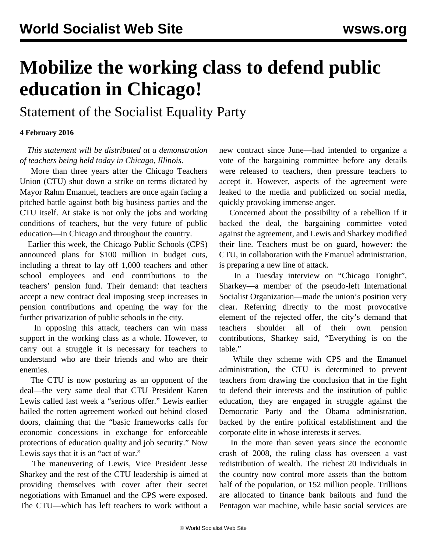## **Mobilize the working class to defend public education in Chicago!**

Statement of the Socialist Equality Party

## **4 February 2016**

 *This statement will be distributed at a demonstration of teachers being held today in Chicago, Illinois.*

 More than three years after the Chicago Teachers Union (CTU) shut down a strike on terms dictated by Mayor Rahm Emanuel, teachers are once again facing a pitched battle against both big business parties and the CTU itself. At stake is not only the jobs and working conditions of teachers, but the very future of public education—in Chicago and throughout the country.

 Earlier this week, the Chicago Public Schools (CPS) announced plans for \$100 million in budget cuts, including a threat to lay off 1,000 teachers and other school employees and end contributions to the teachers' pension fund. Their demand: that teachers accept a new contract deal imposing steep increases in pension contributions and opening the way for the further privatization of public schools in the city.

 In opposing this attack, teachers can win mass support in the working class as a whole. However, to carry out a struggle it is necessary for teachers to understand who are their friends and who are their enemies.

 The CTU is now posturing as an opponent of the deal—the very same deal that CTU President Karen Lewis called last week a "serious offer." Lewis earlier hailed the rotten agreement worked out behind closed doors, claiming that the "basic frameworks calls for economic concessions in exchange for enforceable protections of education quality and job security." Now Lewis says that it is an "act of war."

 The maneuvering of Lewis, Vice President Jesse Sharkey and the rest of the CTU leadership is aimed at providing themselves with cover after their secret negotiations with Emanuel and the CPS were exposed. The CTU—which has left teachers to work without a

new contract since June—had intended to organize a vote of the bargaining committee before any details were released to teachers, then pressure teachers to accept it. However, aspects of the agreement were leaked to the media and publicized on social media, quickly provoking immense anger.

 Concerned about the possibility of a rebellion if it backed the deal, the bargaining committee voted against the agreement, and Lewis and Sharkey modified their line. Teachers must be on guard, however: the CTU, in collaboration with the Emanuel administration, is preparing a new line of attack.

 In a Tuesday interview on "Chicago Tonight", Sharkey—a member of the pseudo-left International Socialist Organization—made the union's position very clear. Referring directly to the most provocative element of the rejected offer, the city's demand that teachers shoulder all of their own pension contributions, Sharkey said, "Everything is on the table."

 While they scheme with CPS and the Emanuel administration, the CTU is determined to prevent teachers from drawing the conclusion that in the fight to defend their interests and the institution of public education, they are engaged in struggle against the Democratic Party and the Obama administration, backed by the entire political establishment and the corporate elite in whose interests it serves.

 In the more than seven years since the economic crash of 2008, the ruling class has overseen a vast redistribution of wealth. The richest 20 individuals in the country now control more assets than the bottom half of the population, or 152 million people. Trillions are allocated to finance bank bailouts and fund the Pentagon war machine, while basic social services are